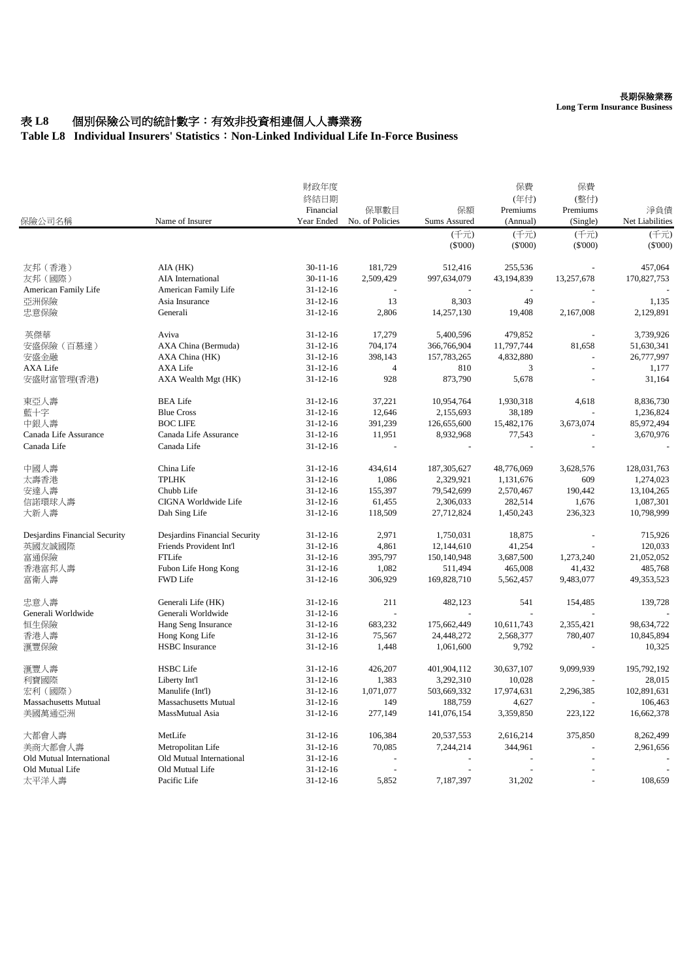### 長期保險業務

**Long Term Insurance Business**

# 表 L8 個別保險公司的統計數字:有效非投資相連個人人壽業務

## **Table L8 Individual Insurers' Statistics**:**Non-Linked Individual Life In-Force Business**

| 保險公司名稱                        | Name of Insurer               | 財政年度<br>終結日期            |                         |                    | 保費<br>(年付)           | 保費<br>(整付)           |                        |
|-------------------------------|-------------------------------|-------------------------|-------------------------|--------------------|----------------------|----------------------|------------------------|
|                               |                               | Financial<br>Year Ended | 保單數目<br>No. of Policies | 保額<br>Sums Assured | Premiums<br>(Annual) | Premiums<br>(Single) | 淨負債<br>Net Liabilities |
|                               |                               |                         |                         | (千元)               | (千元)                 | (千元)                 | (千元)                   |
|                               |                               |                         |                         | $(\$'000)$         | $(\$'000)$           | $(\$'000)$           | $(\$'000)$             |
| 友邦 (香港)                       | AIA (HK)                      | $30 - 11 - 16$          | 181,729                 | 512,416            | 255,536              |                      | 457,064                |
| 友邦(國際)                        | AIA International             | $30 - 11 - 16$          | 2,509,429               | 997,634,079        | 43,194,839           | 13,257,678           | 170,827,753            |
| American Family Life          | American Family Life          | $31 - 12 - 16$          |                         |                    | $\sim$               |                      |                        |
| 亞洲保險                          | Asia Insurance                | $31 - 12 - 16$          | 13                      | 8,303              | 49                   | $\overline{a}$       | 1,135                  |
| 忠意保險                          | Generali                      | $31 - 12 - 16$          | 2,806                   | 14,257,130         | 19,408               | 2,167,008            | 2,129,891              |
| 英傑華                           | Aviva                         | $31 - 12 - 16$          | 17,279                  | 5,400,596          | 479,852              |                      | 3,739,926              |
| 安盛保險 (百慕達)                    | AXA China (Bermuda)           | $31 - 12 - 16$          | 704,174                 | 366,766,904        | 11,797,744           | 81,658               | 51,630,341             |
| 安盛金融                          | AXA China (HK)                | $31 - 12 - 16$          | 398,143                 | 157,783,265        | 4,832,880            |                      | 26,777,997             |
| <b>AXA Life</b>               | AXA Life                      | $31 - 12 - 16$          | $\overline{4}$          | 810                | 3                    |                      | 1,177                  |
| 安盛財富管理(香港)                    | AXA Wealth Mgt (HK)           | $31 - 12 - 16$          | 928                     | 873,790            | 5,678                | $\overline{a}$       | 31,164                 |
| 東亞人壽                          | <b>BEA Life</b>               | $31 - 12 - 16$          | 37,221                  | 10,954,764         | 1,930,318            | 4,618                | 8,836,730              |
| 藍十字                           | <b>Blue Cross</b>             | $31 - 12 - 16$          | 12,646                  | 2,155,693          | 38,189               |                      | 1,236,824              |
| 中銀人壽                          | <b>BOC LIFE</b>               | $31 - 12 - 16$          | 391,239                 | 126,655,600        | 15,482,176           | 3,673,074            | 85,972,494             |
| Canada Life Assurance         | Canada Life Assurance         | $31 - 12 - 16$          | 11,951                  | 8,932,968          | 77,543               |                      | 3,670,976              |
| Canada Life                   | Canada Life                   | $31 - 12 - 16$          |                         |                    | $\frac{1}{2}$        |                      |                        |
| 中國人壽                          | China Life                    | $31 - 12 - 16$          | 434,614                 | 187, 305, 627      | 48,776,069           | 3,628,576            | 128,031,763            |
| 太壽香港                          | <b>TPLHK</b>                  | $31 - 12 - 16$          | 1,086                   | 2,329,921          | 1,131,676            | 609                  | 1,274,023              |
| 安達人壽                          | Chubb Life                    | $31 - 12 - 16$          | 155,397                 | 79,542,699         | 2,570,467            | 190,442              | 13,104,265             |
| 信諾環球人壽                        | CIGNA Worldwide Life          | $31 - 12 - 16$          | 61,455                  | 2,306,033          | 282,514              | 1,676                | 1,087,301              |
| 大新人壽                          | Dah Sing Life                 | $31 - 12 - 16$          | 118,509                 | 27,712,824         | 1,450,243            | 236,323              | 10,798,999             |
| Desjardins Financial Security | Desjardins Financial Security | $31 - 12 - 16$          | 2,971                   | 1,750,031          | 18,875               |                      | 715,926                |
| 英國友誠國際                        | Friends Provident Int'l       | $31 - 12 - 16$          | 4,861                   | 12,144,610         | 41,254               |                      | 120,033                |
| 富通保險                          | FTLife                        | $31 - 12 - 16$          | 395,797                 | 150,140,948        | 3,687,500            | 1,273,240            | 21,052,052             |
| 香港富邦人壽                        | Fubon Life Hong Kong          | $31 - 12 - 16$          | 1,082                   | 511,494            | 465,008              | 41,432               | 485,768                |
| 富衛人壽                          | FWD Life                      | $31 - 12 - 16$          | 306,929                 | 169,828,710        | 5,562,457            | 9,483,077            | 49,353,523             |
| 忠意人壽                          | Generali Life (HK)            | $31 - 12 - 16$          | 211                     | 482,123            | 541                  | 154,485              | 139.728                |
| Generali Worldwide            | Generali Worldwide            | $31 - 12 - 16$          |                         |                    |                      |                      |                        |
| 恒生保險                          | Hang Seng Insurance           | $31 - 12 - 16$          | 683,232                 | 175,662,449        | 10,611,743           | 2,355,421            | 98,634,722             |
| 香港人壽                          | Hong Kong Life                | $31 - 12 - 16$          | 75,567                  | 24,448,272         | 2,568,377            | 780,407              | 10,845,894             |
| 滙豐保險                          | <b>HSBC</b> Insurance         | $31 - 12 - 16$          | 1,448                   | 1,061,600          | 9,792                |                      | 10,325                 |
| 滙豐人壽                          | <b>HSBC</b> Life              | $31 - 12 - 16$          | 426,207                 | 401,904,112        | 30,637,107           | 9,099,939            | 195,792,192            |
| 利寶國際                          | Liberty Int'l                 | $31 - 12 - 16$          | 1,383                   | 3,292,310          | 10,028               |                      | 28,015                 |
| 宏利(國際)                        | Manulife (Int'l)              | $31 - 12 - 16$          | 1,071,077               | 503,669,332        | 17,974,631           | 2,296,385            | 102,891,631            |
| Massachusetts Mutual          | Massachusetts Mutual          | $31 - 12 - 16$          | 149                     | 188,759            | 4,627                |                      | 106,463                |
| 美國萬通亞洲                        | MassMutual Asia               | $31 - 12 - 16$          | 277,149                 | 141,076,154        | 3,359,850            | 223,122              | 16,662,378             |
| 大都會人壽                         | MetLife                       | $31 - 12 - 16$          | 106,384                 | 20,537,553         | 2,616,214            | 375,850              | 8,262,499              |
| 美商大都會人壽                       | Metropolitan Life             | $31 - 12 - 16$          | 70,085                  | 7,244,214          | 344,961              |                      | 2,961,656              |
| Old Mutual International      | Old Mutual International      | $31 - 12 - 16$          |                         |                    |                      |                      |                        |
| Old Mutual Life               | Old Mutual Life               | $31 - 12 - 16$          |                         |                    |                      |                      |                        |
| 太平洋人壽                         | Pacific Life                  | $31 - 12 - 16$          | 5,852                   | 7,187,397          | 31,202               |                      | 108,659                |